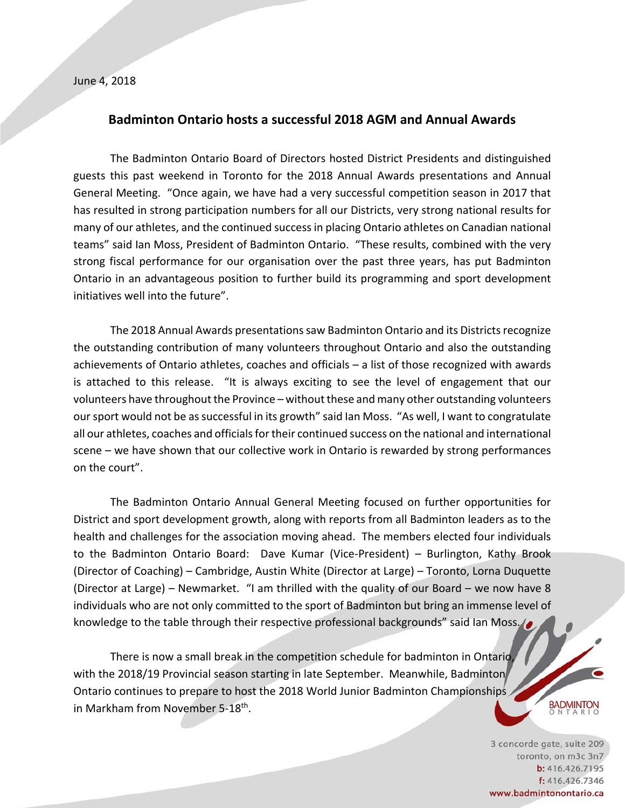## **Badminton Ontario hosts a successful 2018 AGM and Annual Awards**

The Badminton Ontario Board of Directors hosted District Presidents and distinguished guests this past weekend in Toronto for the 2018 Annual Awards presentations and Annual General Meeting. "Once again, we have had a very successful competition season in 2017 that has resulted in strong participation numbers for all our Districts, very strong national results for many of our athletes, and the continued success in placing Ontario athletes on Canadian national teams" said Ian Moss, President of Badminton Ontario. "These results, combined with the very strong fiscal performance for our organisation over the past three years, has put Badminton Ontario in an advantageous position to further build its programming and sport development initiatives well into the future".

The 2018 Annual Awards presentations saw Badminton Ontario and its Districts recognize the outstanding contribution of many volunteers throughout Ontario and also the outstanding achievements of Ontario athletes, coaches and officials – a list of those recognized with awards is attached to this release. "It is always exciting to see the level of engagement that our volunteers have throughout the Province – without these and many other outstanding volunteers our sport would not be as successful in its growth" said Ian Moss. "As well, I want to congratulate all our athletes, coaches and officials for their continued success on the national and international scene – we have shown that our collective work in Ontario is rewarded by strong performances on the court".

The Badminton Ontario Annual General Meeting focused on further opportunities for District and sport development growth, along with reports from all Badminton leaders as to the health and challenges for the association moving ahead. The members elected four individuals to the Badminton Ontario Board: Dave Kumar (Vice-President) – Burlington, Kathy Brook (Director of Coaching) – Cambridge, Austin White (Director at Large) – Toronto, Lorna Duquette (Director at Large) – Newmarket. "I am thrilled with the quality of our Board – we now have 8 individuals who are not only committed to the sport of Badminton but bring an immense level of knowledge to the table through their respective professional backgrounds" said Ian Moss.

There is now a small break in the competition schedule for badminton in Ontario, with the 2018/19 Provincial season starting in late September. Meanwhile, Badminton Ontario continues to prepare to host the 2018 World Junior Badminton Championships in Markham from November 5-18th.

> 3 concorde gate, suite 209 toronto, on m3c 3n7 b: 416.426.7195 f: 416.426.7346 www.badmintonontario.ca

**BADMINTON** NTARI